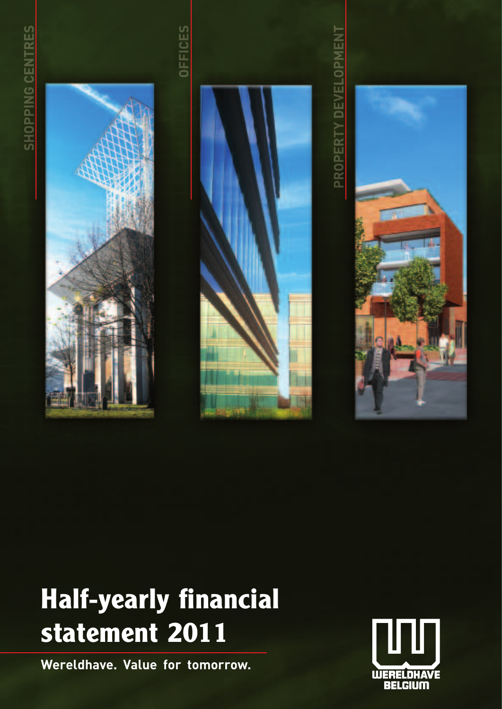

# **DFFICES OFFICES**



# **PROPERTY DEVELOPMENT PROPERTY DEVELOPMENT**



# **Half-yearly financial statement 2011**

Wereldhave. Value for tomorrow.

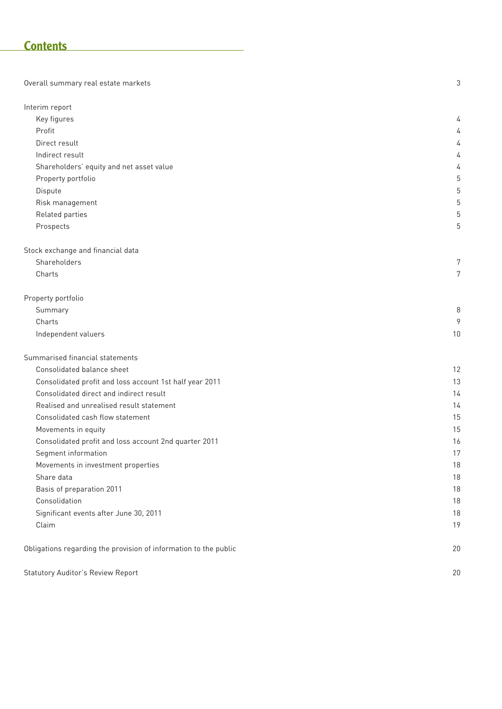| Overall summary real estate markets                              | 3  |
|------------------------------------------------------------------|----|
| Interim report                                                   |    |
| Key figures                                                      | 4  |
| Profit                                                           | 4  |
| Direct result                                                    | 4  |
| Indirect result                                                  | 4  |
| Shareholders' equity and net asset value                         | 4  |
| Property portfolio                                               | 5  |
| Dispute                                                          | 5  |
| Risk management                                                  | 5  |
| Related parties                                                  | 5  |
| Prospects                                                        | 5  |
|                                                                  |    |
| Stock exchange and financial data<br>Shareholders                | 7  |
| Charts                                                           | 7  |
|                                                                  |    |
| Property portfolio                                               |    |
| Summary                                                          | 8  |
| Charts                                                           | 9  |
| Independent valuers                                              | 10 |
| Summarised financial statements                                  |    |
| Consolidated balance sheet                                       | 12 |
| Consolidated profit and loss account 1st half year 2011          | 13 |
| Consolidated direct and indirect result                          | 14 |
| Realised and unrealised result statement                         | 14 |
| Consolidated cash flow statement                                 | 15 |
| Movements in equity                                              | 15 |
| Consolidated profit and loss account 2nd quarter 2011            | 16 |
| Segment information                                              | 17 |
| Movements in investment properties                               | 18 |
| Share data                                                       | 18 |
| Basis of preparation 2011                                        | 18 |
| Consolidation                                                    | 18 |
| Significant events after June 30, 2011                           | 18 |
| Claim                                                            | 19 |
| Obligations regarding the provision of information to the public | 20 |
| <b>Statutory Auditor's Review Report</b>                         | 20 |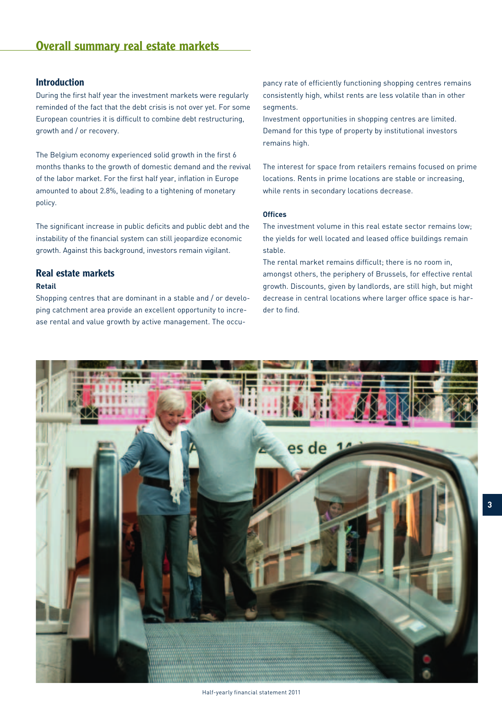#### Introduction

During the first half year the investment markets were regularly reminded of the fact that the debt crisis is not over yet. For some European countries it is difficult to combine debt restructuring, growth and / or recovery.

The Belgium economy experienced solid growth in the first 6 months thanks to the growth of domestic demand and the revival of the labor market. For the first half year, inflation in Europe amounted to about 2.8%, leading to a tightening of monetary policy.

The significant increase in public deficits and public debt and the instability of the financial system can still jeopardize economic growth. Against this background, investors remain vigilant.

#### Real estate markets **Retail**

Shopping centres that are dominant in a stable and / or developing catchment area provide an excellent opportunity to increase rental and value growth by active management. The occupancy rate of efficiently functioning shopping centres remains consistently high, whilst rents are less volatile than in other segments.

Investment opportunities in shopping centres are limited. Demand for this type of property by institutional investors remains high.

The interest for space from retailers remains focused on prime locations. Rents in prime locations are stable or increasing, while rents in secondary locations decrease.

#### **Offices**

The investment volume in this real estate sector remains low; the yields for well located and leased office buildings remain stable.

The rental market remains difficult; there is no room in, amongst others, the periphery of Brussels, for effective rental growth. Discounts, given by landlords, are still high, but might decrease in central locations where larger office space is harder to find.

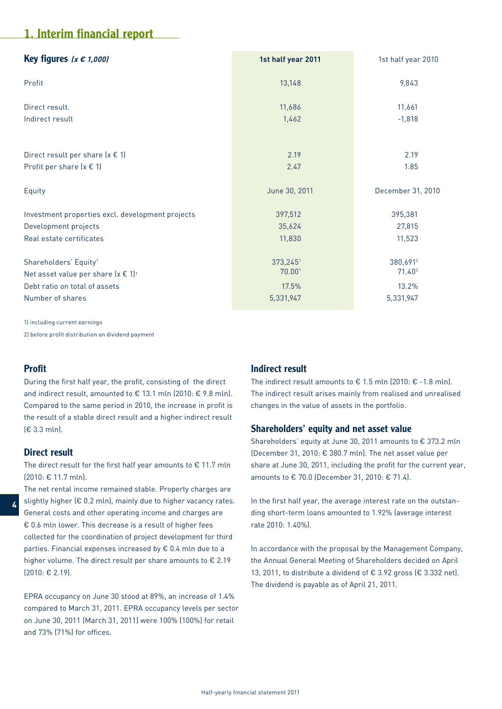# 1. Interim financial report

| Key figures $(x \in 1,000)$                      | 1st half year 2011 | 1st half year 2010 |
|--------------------------------------------------|--------------------|--------------------|
| Profit                                           | 13,148             | 9,843              |
| Direct result.                                   | 11,686             | 11,661             |
| Indirect result                                  | 1,462              | $-1,818$           |
| Direct result per share $(x \in 1)$              | 2.19               | 2.19               |
| Profit per share $(x \in 1)$                     | 2.47               | 1.85               |
| Equity                                           | June 30, 2011      | December 31, 2010  |
| Investment properties excl. development projects | 397,512            | 395,381            |
| Development projects                             | 35,624             | 27,815             |
| Real estate certificates                         | 11,830             | 11,523             |
| Shareholders' Equity <sup>1</sup>                | 373,2451           | 380,6912           |
| Net asset value per share $(x \in 1)^n$          | 70.00 <sup>1</sup> | 71.40 <sup>2</sup> |
| Debt ratio on total of assets                    | 17.5%              | 13.2%              |
| Number of shares                                 | 5,331,947          | 5,331,947          |

1) including current earnings

2) before profit distribution an dividend payment

#### Profit

During the first half year, the profit, consisting of the direct and indirect result, amounted to € 13.1 mln (2010: € 9.8 mln). Compared to the same period in 2010, the increase in profit is the result of a stable direct result and a higher indirect result (€ 3.3 mln).

#### Direct result

**4**

The direct result for the first half year amounts to  $\epsilon$  11.7 mln (2010: € 11.7 mln).

The net rental income remained stable. Property charges are slightly higher (€ 0.2 mln), mainly due to higher vacancy rates. General costs and other operating income and charges are € 0.6 mln lower. This decrease is a result of higher fees collected for the coordination of project development for third parties. Financial expenses increased by € 0.4 mln due to a higher volume. The direct result per share amounts to € 2.19 (2010: € 2.19).

EPRA occupancy on June 30 stood at 89%, an increase of 1.4% compared to March 31, 2011. EPRA occupancy levels per sector on June 30, 2011 (March 31, 2011) were 100% (100%) for retail and 73% (71%) for offices.

#### Indirect result

The indirect result amounts to  $\epsilon$  1.5 mln (2010:  $\epsilon$  -1.8 mln). The indirect result arises mainly from realised and unrealised changes in the value of assets in the portfolio.

#### Shareholders' equity and net asset value

Shareholders' equity at June 30, 2011 amounts to € 373.2 mln (December 31, 2010: € 380.7 mln). The net asset value per share at June 30, 2011, including the profit for the current year, amounts to € 70.0 (December 31, 2010: € 71.4).

In the first half year, the average interest rate on the outstanding short-term loans amounted to 1.92% (average interest rate 2010: 1.40%).

In accordance with the proposal by the Management Company, the Annual General Meeting of Shareholders decided on April 13, 2011, to distribute a dividend of € 3.92 gross (€ 3.332 net). The dividend is payable as of April 21, 2011.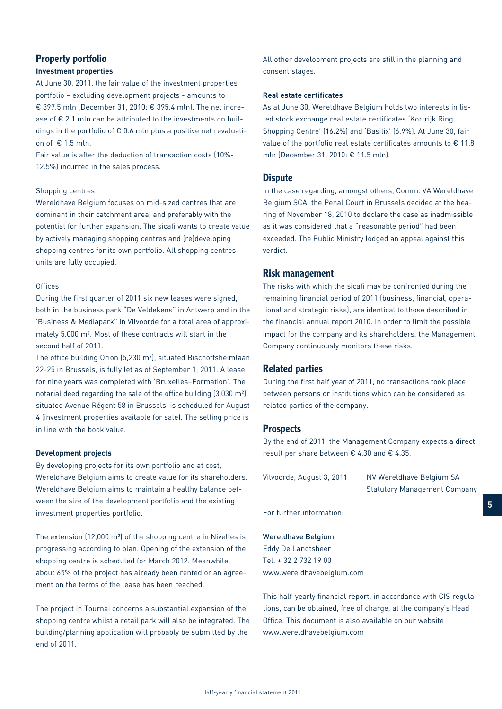# Property portfolio

#### **Investment properties**

At June 30, 2011, the fair value of the investment properties portfolio – excluding development projects - amounts to € 397.5 mln (December 31, 2010: € 395.4 mln). The net increase of € 2.1 mln can be attributed to the investments on buildings in the portfolio of  $\epsilon$  0.6 mln plus a positive net revaluation of € 1.5 mln.

Fair value is after the deduction of transaction costs (10%- 12.5%) incurred in the sales process.

#### Shopping centres

Wereldhave Belgium focuses on mid-sized centres that are dominant in their catchment area, and preferably with the potential for further expansion. The sicafi wants to create value by actively managing shopping centres and (re)developing shopping centres for its own portfolio. All shopping centres units are fully occupied.

#### **Offices**

During the first quarter of 2011 six new leases were signed, both in the business park "De Veldekens" in Antwerp and in the 'Business & Mediapark" in Vilvoorde for a total area of approximately 5,000 m². Most of these contracts will start in the second half of 2011.

The office building Orion (5,230 m²), situated Bischoffsheimlaan 22-25 in Brussels, is fully let as of September 1, 2011. A lease for nine years was completed with 'Bruxelles–Formation'. The notarial deed regarding the sale of the office building (3,030 m²), situated Avenue Régent 58 in Brussels, is scheduled for August 4 (investment properties available for sale). The selling price is in line with the book value.

#### **Development projects**

By developing projects for its own portfolio and at cost, Wereldhave Belgium aims to create value for its shareholders. Wereldhave Belgium aims to maintain a healthy balance between the size of the development portfolio and the existing investment properties portfolio.

The extension (12,000 m²) of the shopping centre in Nivelles is progressing according to plan. Opening of the extension of the shopping centre is scheduled for March 2012. Meanwhile, about 65% of the project has already been rented or an agreement on the terms of the lease has been reached.

The project in Tournai concerns a substantial expansion of the shopping centre whilst a retail park will also be integrated. The building/planning application will probably be submitted by the end of 2011.

All other development projects are still in the planning and consent stages.

#### **Real estate certificates**

As at June 30, Wereldhave Belgium holds two interests in listed stock exchange real estate certificates 'Kortrijk Ring Shopping Centre' (16.2%) and 'Basilix' (6.9%). At June 30, fair value of the portfolio real estate certificates amounts to  $\epsilon$  11.8 mln (December 31, 2010: € 11.5 mln).

#### **Dispute**

In the case regarding, amongst others, Comm. VA Wereldhave Belgium SCA, the Penal Court in Brussels decided at the hearing of November 18, 2010 to declare the case as inadmissible as it was considered that a "reasonable period" had been exceeded. The Public Ministry lodged an appeal against this verdict.

#### Risk management

The risks with which the sicafi may be confronted during the remaining financial period of 2011 (business, financial, operational and strategic risks), are identical to those described in the financial annual report 2010. In order to limit the possible impact for the company and its shareholders, the Management Company continuously monitors these risks.

#### Related parties

During the first half year of 2011, no transactions took place between persons or institutions which can be considered as related parties of the company.

#### **Prospects**

By the end of 2011, the Management Company expects a direct result per share between € 4.30 and € 4.35.

| Vilvoorde, August 3, 2011 |  |
|---------------------------|--|
|                           |  |

NV Wereldhave Belgium SA Statutory Management Company

For further information:

#### Wereldhave Belgium

Eddy De Landtsheer Tel. + 32 2 732 19 00 www.wereldhavebelgium.com

This half-yearly financial report, in accordance with CIS regulations, can be obtained, free of charge, at the company's Head Office. This document is also available on our website www.wereldhavebelgium.com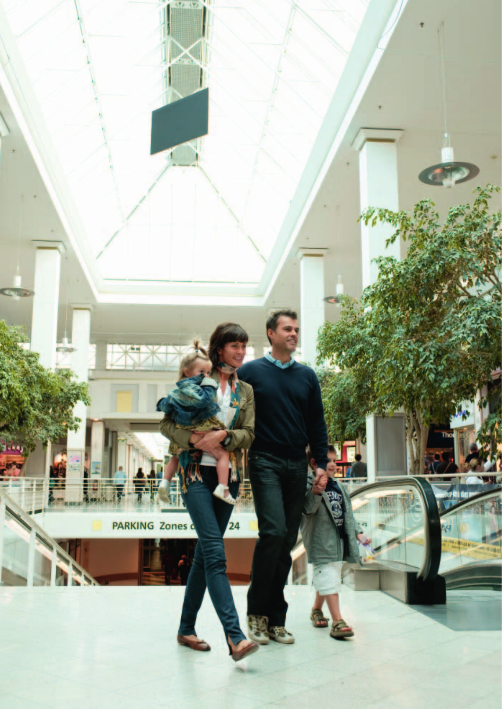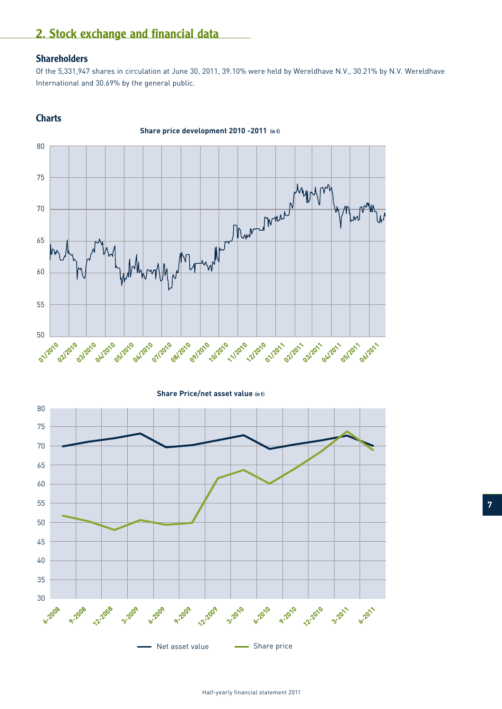# 2. Stock exchange and financial data

#### **Shareholders**

Of the 5,331,947 shares in circulation at June 30, 2011, 39.10% were held by Wereldhave N.V., 30.21% by N.V. Wereldhave International and 30.69% by the general public.

#### **Charts**

#### Share price development 2010 -2011 (in €)



**Share Price/net asset value (in €)** 

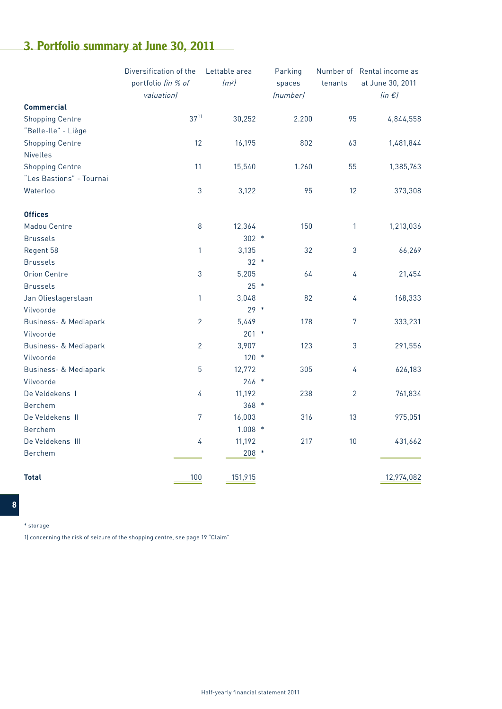# 3. Portfolio summary at June 30, 2011

|                          | Diversification of the<br>portfolio (in % of<br>valuation) | Lettable area<br>(m <sup>2</sup> ) | Parking<br>spaces<br>(number) | tenants        | Number of Rental income as<br>at June 30, 2011<br>(in $\epsilon$ ) |
|--------------------------|------------------------------------------------------------|------------------------------------|-------------------------------|----------------|--------------------------------------------------------------------|
| <b>Commercial</b>        |                                                            |                                    |                               |                |                                                                    |
| <b>Shopping Centre</b>   | $37^{[1]}$                                                 | 30,252                             | 2.200                         | 95             | 4,844,558                                                          |
| "Belle-Ile" - Liège      |                                                            |                                    |                               |                |                                                                    |
| <b>Shopping Centre</b>   | 12                                                         | 16,195                             | 802                           | 63             | 1,481,844                                                          |
| <b>Nivelles</b>          |                                                            |                                    |                               |                |                                                                    |
| <b>Shopping Centre</b>   | 11                                                         | 15,540                             | 1.260                         | 55             | 1,385,763                                                          |
| "Les Bastions" - Tournai |                                                            |                                    |                               |                |                                                                    |
| Waterloo                 | 3                                                          | 3,122                              | 95                            | 12             | 373,308                                                            |
| <b>Offices</b>           |                                                            |                                    |                               |                |                                                                    |
| <b>Madou Centre</b>      | $\,8\,$                                                    | 12,364                             | 150                           | 1              | 1,213,036                                                          |
| <b>Brussels</b>          |                                                            | $302 *$                            |                               |                |                                                                    |
| Regent 58                | 1                                                          | 3,135                              | 32                            | $\mathbf{3}$   | 66,269                                                             |
| <b>Brussels</b>          |                                                            | $32 *$                             |                               |                |                                                                    |
| <b>Orion Centre</b>      | 3                                                          | 5,205                              | 64                            | $\overline{4}$ | 21,454                                                             |
| <b>Brussels</b>          |                                                            | $25 *$                             |                               |                |                                                                    |
| Jan Olieslagerslaan      | 1                                                          | 3,048                              | 82                            | 4              | 168,333                                                            |
| Vilvoorde                |                                                            | $29 *$                             |                               |                |                                                                    |
| Business- & Mediapark    | $\overline{2}$                                             | 5,449                              | 178                           | 7              | 333,231                                                            |
| Vilvoorde                |                                                            | $201$ *                            |                               |                |                                                                    |
| Business- & Mediapark    | $\overline{2}$                                             | 3,907                              | 123                           | $\sqrt{3}$     | 291,556                                                            |
| Vilvoorde                |                                                            | $120 *$                            |                               |                |                                                                    |
| Business- & Mediapark    | 5                                                          | 12,772                             | 305                           | $\overline{4}$ | 626,183                                                            |
| Vilvoorde                |                                                            | $246$ *                            |                               |                |                                                                    |
| De Veldekens             | 4                                                          | 11,192                             | 238                           | $\overline{2}$ | 761,834                                                            |
| Berchem                  |                                                            | $368$ *                            |                               |                |                                                                    |
| De Veldekens II          | $\overline{7}$                                             | 16,003                             | 316                           | 13             | 975,051                                                            |
| Berchem                  |                                                            | $1.008$ *                          |                               |                |                                                                    |
| De Veldekens III         | 4                                                          | 11,192                             | 217                           | 10             | 431,662                                                            |
| Berchem                  |                                                            | $208$ *                            |                               |                |                                                                    |
| <b>Total</b>             | 100                                                        | 151,915                            |                               |                | 12,974,082                                                         |

# **8**

\* storage

1) concerning the risk of seizure of the shopping centre, see page 19 "Claim"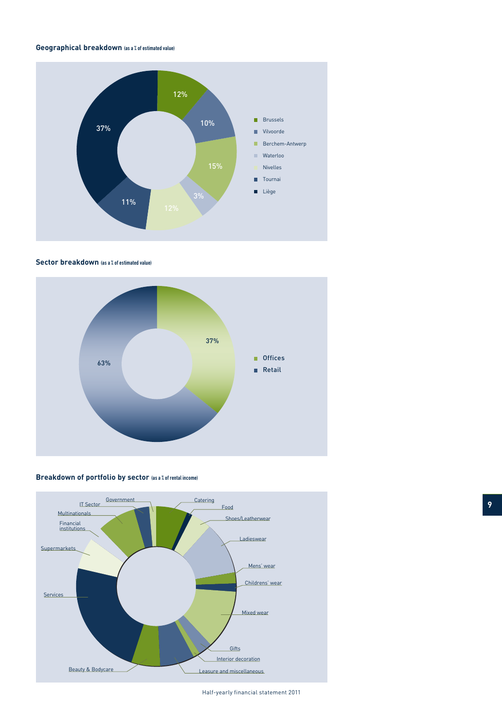#### **Geographical breakdown** (as a % of estimated value)



#### **Sector breakdown** (as a % of estimated value)



#### **Breakdown of portfolio by sector** (as a % of rental income)



Half-yearly financial statement 2011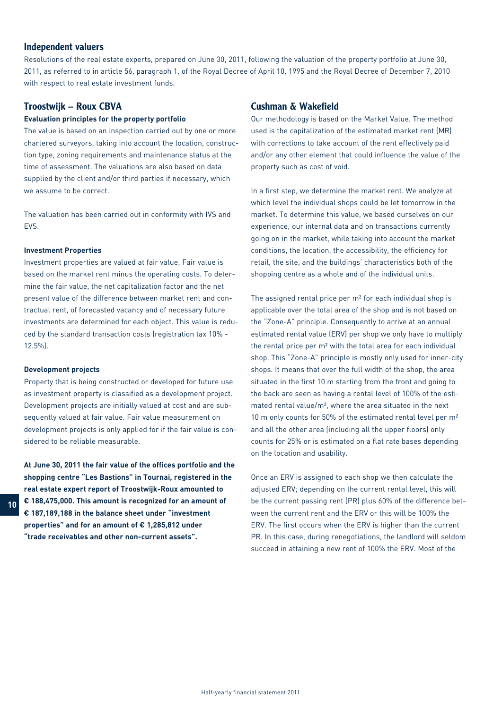#### Independent valuers

Resolutions of the real estate experts, prepared on June 30, 2011, following the valuation of the property portfolio at June 30, 2011, as referred to in article 56, paragraph 1, of the Royal Decree of April 10, 1995 and the Royal Decree of December 7, 2010 with respect to real estate investment funds.

#### Troostwijk – Roux CBVA

#### **Evaluation principles for the property portfolio**

The value is based on an inspection carried out by one or more chartered surveyors, taking into account the location, construction type, zoning requirements and maintenance status at the time of assessment. The valuations are also based on data supplied by the client and/or third parties if necessary, which we assume to be correct.

The valuation has been carried out in conformity with IVS and EVS.

#### **Investment Properties**

Investment properties are valued at fair value. Fair value is based on the market rent minus the operating costs. To determine the fair value, the net capitalization factor and the net present value of the difference between market rent and contractual rent, of forecasted vacancy and of necessary future investments are determined for each object. This value is reduced by the standard transaction costs (registration tax 10% - 12.5%).

#### **Development projects**

Property that is being constructed or developed for future use as investment property is classified as a development project. Development projects are initially valued at cost and are subsequently valued at fair value. Fair value measurement on development projects is only applied for if the fair value is considered to be reliable measurable.

**At June 30, 2011 the fair value of the offices portfolio and the shopping centre "Les Bastions" in Tournai, registered in the real estate expert report of Troostwijk-Roux amounted to € 188,475,000. This amount is recognized for an amount of € 187,189,188 in the balance sheet under "investment properties" and for an amount of € 1,285,812 under "trade receivables and other non-current assets".**

#### Cushman & Wakefield

Our methodology is based on the Market Value. The method used is the capitalization of the estimated market rent (MR) with corrections to take account of the rent effectively paid and/or any other element that could influence the value of the property such as cost of void.

In a first step, we determine the market rent. We analyze at which level the individual shops could be let tomorrow in the market. To determine this value, we based ourselves on our experience, our internal data and on transactions currently going on in the market, while taking into account the market conditions, the location, the accessibility, the efficiency for retail, the site, and the buildings' characteristics both of the shopping centre as a whole and of the individual units.

The assigned rental price per m² for each individual shop is applicable over the total area of the shop and is not based on the "Zone-A" principle. Consequently to arrive at an annual estimated rental value (ERV) per shop we only have to multiply the rental price per m² with the total area for each individual shop. This "Zone-A" principle is mostly only used for inner-city shops. It means that over the full width of the shop, the area situated in the first 10 m starting from the front and going to the back are seen as having a rental level of 100% of the estimated rental value/m², where the area situated in the next 10 m only counts for 50% of the estimated rental level per m<sup>2</sup> and all the other area (including all the upper floors) only counts for 25% or is estimated on a flat rate bases depending on the location and usability.

Once an ERV is assigned to each shop we then calculate the adjusted ERV; depending on the current rental level, this will be the current passing rent (PR) plus 60% of the difference between the current rent and the ERV or this will be 100% the ERV. The first occurs when the ERV is higher than the current PR. In this case, during renegotiations, the landlord will seldom succeed in attaining a new rent of 100% the ERV. Most of the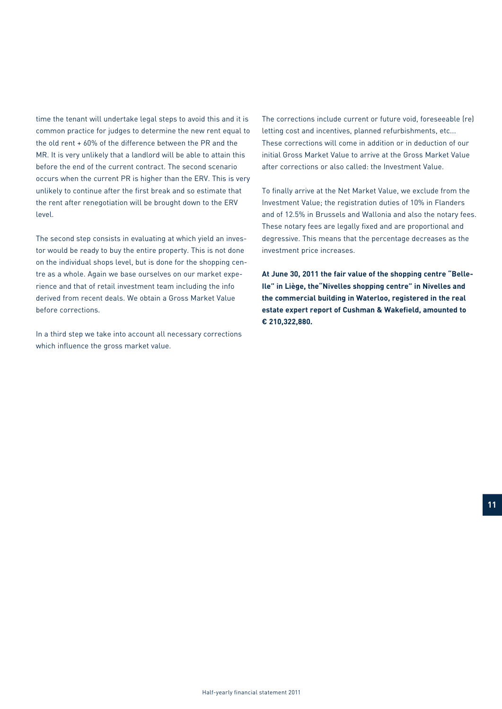time the tenant will undertake legal steps to avoid this and it is common practice for judges to determine the new rent equal to the old rent + 60% of the difference between the PR and the MR. It is very unlikely that a landlord will be able to attain this before the end of the current contract. The second scenario occurs when the current PR is higher than the ERV. This is very unlikely to continue after the first break and so estimate that the rent after renegotiation will be brought down to the ERV level.

The second step consists in evaluating at which yield an investor would be ready to buy the entire property. This is not done on the individual shops level, but is done for the shopping centre as a whole. Again we base ourselves on our market experience and that of retail investment team including the info derived from recent deals. We obtain a Gross Market Value before corrections.

In a third step we take into account all necessary corrections which influence the gross market value.

The corrections include current or future void, foreseeable (re) letting cost and incentives, planned refurbishments, etc... These corrections will come in addition or in deduction of our initial Gross Market Value to arrive at the Gross Market Value after corrections or also called: the Investment Value.

To finally arrive at the Net Market Value, we exclude from the Investment Value; the registration duties of 10% in Flanders and of 12.5% in Brussels and Wallonia and also the notary fees. These notary fees are legally fixed and are proportional and degressive. This means that the percentage decreases as the investment price increases.

**At June 30, 2011 the fair value of the shopping centre "Belle-Ile" in Liège, the"Nivelles shopping centre" in Nivelles and the commercial building in Waterloo, registered in the real estate expert report of Cushman & Wakefield, amounted to € 210,322,880.**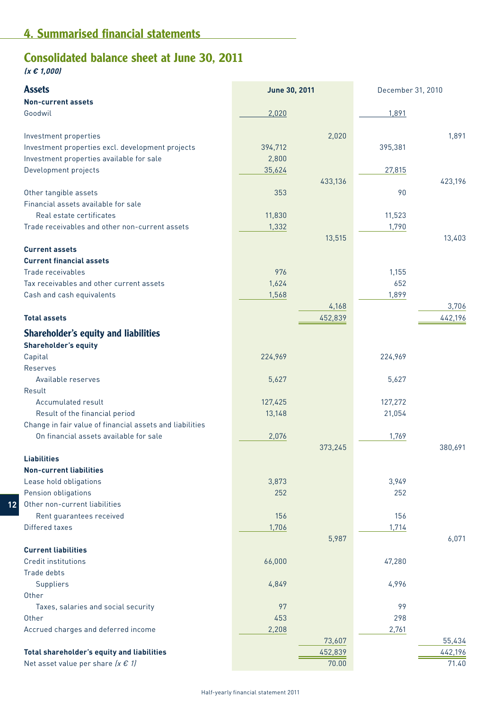# Consolidated balance sheet at June 30, 2011

**(x € 1,000)**

| <b>Assets</b>                                            | <b>June 30, 2011</b> |         | December 31, 2010 |         |
|----------------------------------------------------------|----------------------|---------|-------------------|---------|
| <b>Non-current assets</b>                                |                      |         |                   |         |
| Goodwil                                                  | 2,020                |         | 1,891             |         |
| Investment properties                                    |                      | 2,020   |                   | 1,891   |
| Investment properties excl. development projects         | 394,712              |         | 395,381           |         |
| Investment properties available for sale                 | 2,800                |         |                   |         |
| Development projects                                     | 35,624               |         | 27,815            |         |
|                                                          |                      | 433,136 |                   | 423,196 |
| Other tangible assets                                    | 353                  |         | 90                |         |
| Financial assets available for sale                      |                      |         |                   |         |
| Real estate certificates                                 | 11,830               |         | 11,523            |         |
| Trade receivables and other non-current assets           | 1,332                |         | 1,790             |         |
|                                                          |                      | 13,515  |                   | 13,403  |
| <b>Current assets</b>                                    |                      |         |                   |         |
| <b>Current financial assets</b>                          |                      |         |                   |         |
| Trade receivables                                        | 976                  |         | 1,155             |         |
| Tax receivables and other current assets                 | 1,624                |         | 652               |         |
| Cash and cash equivalents                                | 1,568                |         | 1,899             |         |
|                                                          |                      | 4,168   |                   | 3,706   |
| <b>Total assets</b>                                      |                      | 452,839 |                   | 442,196 |
| <b>Shareholder's equity and liabilities</b>              |                      |         |                   |         |
| <b>Shareholder's equity</b>                              |                      |         |                   |         |
| Capital                                                  | 224,969              |         | 224,969           |         |
| <b>Reserves</b>                                          |                      |         |                   |         |
| Available reserves                                       | 5,627                |         | 5,627             |         |
| Result                                                   |                      |         |                   |         |
| Accumulated result                                       | 127,425              |         | 127,272           |         |
| Result of the financial period                           | 13,148               |         | 21,054            |         |
| Change in fair value of financial assets and liabilities |                      |         |                   |         |
| On financial assets available for sale                   | 2,076                |         | 1,769             |         |
|                                                          |                      | 373,245 |                   | 380,691 |
| <b>Liabilities</b>                                       |                      |         |                   |         |
| <b>Non-current liabilities</b>                           |                      |         |                   |         |
| Lease hold obligations                                   | 3,873                |         | 3,949             |         |
| Pension obligations                                      | 252                  |         | 252               |         |
| Other non-current liabilities                            |                      |         |                   |         |
| Rent guarantees received                                 | 156                  |         | 156               |         |
| Differed taxes                                           | 1,706                |         | 1,714             |         |
|                                                          |                      | 5,987   |                   | 6,071   |
| <b>Current liabilities</b>                               |                      |         |                   |         |
| <b>Credit institutions</b>                               | 66,000               |         | 47,280            |         |
| Trade debts                                              |                      |         |                   |         |
| Suppliers                                                | 4,849                |         | 4,996             |         |
| Other                                                    |                      |         |                   |         |
| Taxes, salaries and social security                      | 97                   |         | 99                |         |
| Other                                                    | 453                  |         | 298               |         |
| Accrued charges and deferred income                      | 2,208                |         | 2,761             |         |
|                                                          |                      | 73,607  |                   | 55,434  |
| Total shareholder's equity and liabilities               |                      | 452,839 |                   | 442,196 |
| Net asset value per share $(x \in \mathcal{U})$          |                      | 70.00   |                   | 71.40   |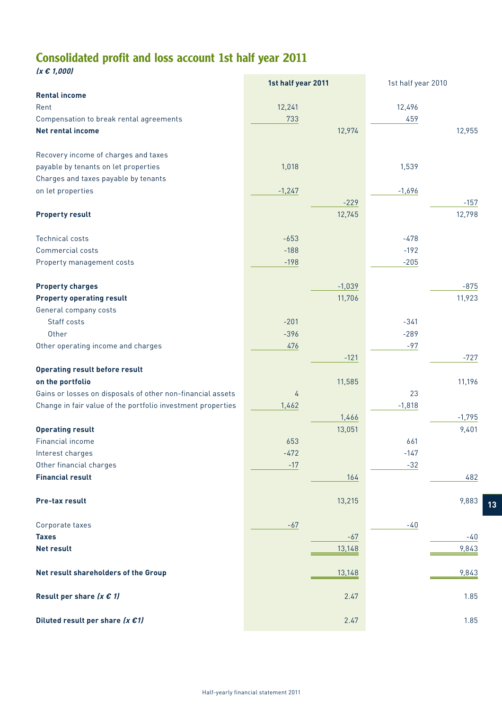# Consolidated profit and loss account 1st half year 2011

**(x € 1,000)**

|                                                             | 1st half year 2011 |          | 1st half year 2010 |          |
|-------------------------------------------------------------|--------------------|----------|--------------------|----------|
| <b>Rental income</b>                                        |                    |          |                    |          |
| Rent                                                        | 12,241             |          | 12,496             |          |
| Compensation to break rental agreements                     | 733                |          | 459                |          |
| <b>Net rental income</b>                                    |                    | 12,974   |                    | 12,955   |
|                                                             |                    |          |                    |          |
| Recovery income of charges and taxes                        |                    |          |                    |          |
| payable by tenants on let properties                        | 1,018              |          | 1,539              |          |
| Charges and taxes payable by tenants                        |                    |          |                    |          |
| on let properties                                           | $-1,247$           |          | $-1,696$           |          |
|                                                             |                    | $-229$   |                    | $-157$   |
| <b>Property result</b>                                      |                    | 12,745   |                    | 12,798   |
|                                                             |                    |          |                    |          |
| <b>Technical costs</b>                                      | $-653$             |          | $-478$             |          |
| Commercial costs                                            | $-188$             |          | $-192$             |          |
| Property management costs                                   | $-198$             |          | $-205$             |          |
|                                                             |                    |          |                    |          |
| <b>Property charges</b>                                     |                    | $-1,039$ |                    | $-875$   |
| <b>Property operating result</b>                            |                    | 11,706   |                    | 11,923   |
| General company costs                                       |                    |          |                    |          |
| Staff costs                                                 | $-201$             |          | $-341$             |          |
| Other                                                       | $-396$             |          | $-289$             |          |
| Other operating income and charges                          | 476                |          | $-97$              |          |
|                                                             |                    | $-121$   |                    | $-727$   |
| <b>Operating result before result</b>                       |                    |          |                    |          |
| on the portfolio                                            |                    | 11,585   |                    | 11,196   |
| Gains or losses on disposals of other non-financial assets  | 4                  |          | 23                 |          |
| Change in fair value of the portfolio investment properties | 1,462              |          | $-1,818$           |          |
|                                                             |                    | 1,466    |                    | $-1,795$ |
| <b>Operating result</b>                                     |                    | 13,051   |                    | 9,401    |
| Financial income                                            | 653                |          | 661                |          |
| Interest charges                                            | $-472$             |          | $-147$             |          |
| Other financial charges                                     | $-17$              |          | $-32$              |          |
| <b>Financial result</b>                                     |                    | 164      |                    | 482      |
|                                                             |                    |          |                    |          |
| Pre-tax result                                              |                    | 13,215   |                    | 9,883    |
|                                                             |                    |          |                    |          |
| Corporate taxes                                             | $-67$              |          | $-40$              |          |
| <b>Taxes</b>                                                |                    | $-67$    |                    | $-40$    |
| <b>Net result</b>                                           |                    | 13,148   |                    | 9,843    |
|                                                             |                    |          |                    |          |
| Net result shareholders of the Group                        |                    | 13,148   |                    | 9,843    |
|                                                             |                    |          |                    |          |
| Result per share $(x \in \mathcal{U})$                      |                    | 2.47     |                    | 1.85     |
|                                                             |                    |          |                    |          |
| Diluted result per share $(x \in I)$                        |                    | 2.47     |                    | 1.85     |
|                                                             |                    |          |                    |          |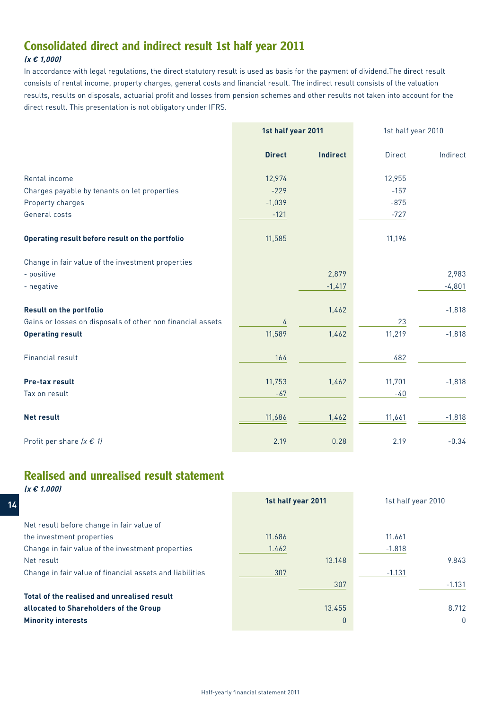# Consolidated direct and indirect result 1st half year 2011

#### **(x € 1,000)**

In accordance with legal regulations, the direct statutory result is used as basis for the payment of dividend.The direct result consists of rental income, property charges, general costs and financial result. The indirect result consists of the valuation results, results on disposals, actuarial profit and losses from pension schemes and other results not taken into account for the direct result. This presentation is not obligatory under IFRS.

|                                                            | 1st half year 2011 |                 | 1st half year 2010 |          |
|------------------------------------------------------------|--------------------|-----------------|--------------------|----------|
|                                                            | <b>Direct</b>      | <b>Indirect</b> | <b>Direct</b>      | Indirect |
| Rental income                                              | 12,974             |                 | 12,955             |          |
| Charges payable by tenants on let properties               | $-229$             |                 | $-157$             |          |
| Property charges                                           | $-1,039$           |                 | $-875$             |          |
| General costs                                              | $-121$             |                 | $-727$             |          |
| Operating result before result on the portfolio            | 11,585             |                 | 11,196             |          |
| Change in fair value of the investment properties          |                    |                 |                    |          |
| - positive                                                 |                    | 2,879           |                    | 2,983    |
| - negative                                                 |                    | $-1,417$        |                    | $-4,801$ |
| <b>Result on the portfolio</b>                             |                    | 1,462           |                    | $-1,818$ |
| Gains or losses on disposals of other non financial assets | 4                  |                 | 23                 |          |
| <b>Operating result</b>                                    | 11,589             | 1,462           | 11,219             | $-1,818$ |
| <b>Financial result</b>                                    | 164                |                 | 482                |          |
| Pre-tax result                                             | 11,753             | 1,462           | 11,701             | $-1,818$ |
| Tax on result                                              | $-67$              |                 | $-40$              |          |
| <b>Net result</b>                                          | 11,686             | 1,462           | 11,661             | $-1,818$ |
| Profit per share $(x \in \mathcal{U})$                     | 2.19               | 0.28            | 2.19               | $-0.34$  |

# Realised and unrealised result statement

**(x € 1.000)**

|                                                                                                                             | 1st half year 2011 | 1st half year 2010   |  |
|-----------------------------------------------------------------------------------------------------------------------------|--------------------|----------------------|--|
| Net result before change in fair value of<br>the investment properties<br>Change in fair value of the investment properties | 11.686<br>1.462    | 11.661<br>$-1.818$   |  |
| Net result                                                                                                                  | 13.148             | 9.843                |  |
| Change in fair value of financial assets and liabilities                                                                    | 307<br>307         | $-1.131$<br>$-1.131$ |  |
| Total of the realised and unrealised result                                                                                 |                    |                      |  |
| allocated to Shareholders of the Group                                                                                      | 13.455             | 8.712                |  |
| <b>Minority interests</b>                                                                                                   | 0                  | $\mathbf{0}$         |  |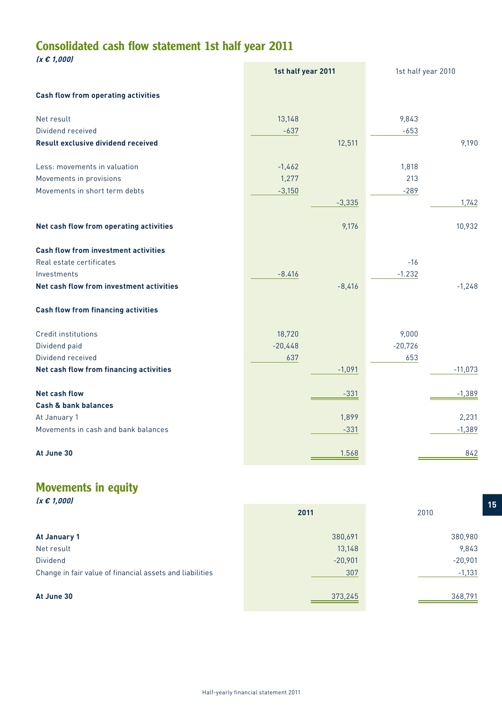# Consolidated cash flow statement 1st half year 2011

**(x € 1,000)**

|                                             | 1st half year 2011 |          |           | 1st half year 2010 |
|---------------------------------------------|--------------------|----------|-----------|--------------------|
| <b>Cash flow from operating activities</b>  |                    |          |           |                    |
| Net result                                  | 13,148             |          | 9,843     |                    |
| Dividend received                           | $-637$             |          | $-653$    |                    |
| Result exclusive dividend received          |                    | 12,511   |           | 9,190              |
| Less: movements in valuation                | $-1,462$           |          | 1,818     |                    |
| Movements in provisions                     | 1,277              |          | 213       |                    |
| Movements in short term debts               | $-3,150$           |          | $-289$    |                    |
|                                             |                    | $-3,335$ |           | 1,742              |
| Net cash flow from operating activities     |                    | 9,176    |           | 10,932             |
| <b>Cash flow from investment activities</b> |                    |          |           |                    |
| Real estate certificates                    |                    |          | $-16$     |                    |
| Investments                                 | $-8.416$           |          | $-1.232$  |                    |
| Net cash flow from investment activities    |                    | $-8,416$ |           | $-1,248$           |
| <b>Cash flow from financing activities</b>  |                    |          |           |                    |
| <b>Credit institutions</b>                  | 18,720             |          | 9,000     |                    |
| Dividend paid                               | $-20,448$          |          | $-20,726$ |                    |
| Dividend received                           | 637                |          | 653       |                    |
| Net cash flow from financing activities     |                    | $-1,091$ |           | $-11,073$          |
| <b>Net cash flow</b>                        |                    | $-331$   |           | $-1,389$           |
| <b>Cash &amp; bank balances</b>             |                    |          |           |                    |
| At January 1                                |                    | 1,899    |           | 2,231              |
| Movements in cash and bank balances         |                    | $-331$   |           | $-1,389$           |
| At June 30                                  |                    | 1.568    |           | 842                |

# Movements in equity **(x € 1,000)**

|                                                          | 2011      | 2010      |
|----------------------------------------------------------|-----------|-----------|
| At January 1                                             | 380,691   | 380,980   |
| Net result                                               | 13,148    | 9,843     |
| Dividend                                                 | $-20,901$ | $-20,901$ |
| Change in fair value of financial assets and liabilities | 307       | $-1,131$  |
| At June 30                                               | 373,245   | 368,791   |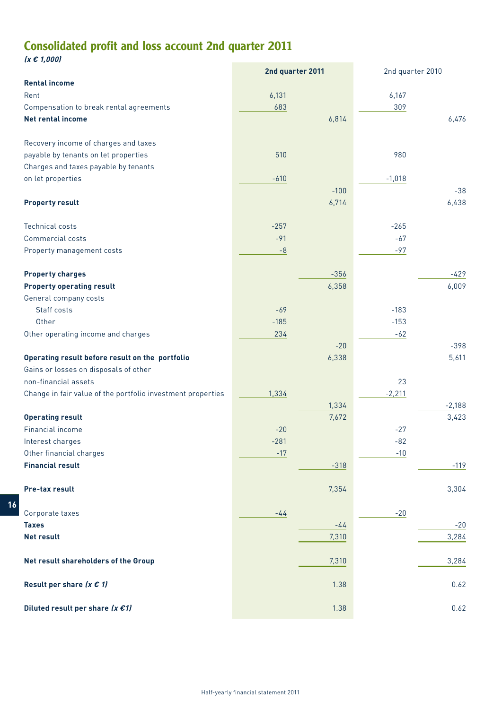# Consolidated profit and loss account 2nd quarter 2011

**(x € 1,000)**

|                                                             |             | 2nd quarter 2011 | 2nd quarter 2010 |          |
|-------------------------------------------------------------|-------------|------------------|------------------|----------|
| <b>Rental income</b>                                        |             |                  |                  |          |
| Rent                                                        | 6,131       |                  | 6,167            |          |
| Compensation to break rental agreements                     | 683         |                  | 309              |          |
| <b>Net rental income</b>                                    |             | 6,814            |                  | 6,476    |
|                                                             |             |                  |                  |          |
| Recovery income of charges and taxes                        |             |                  |                  |          |
| payable by tenants on let properties                        | 510         |                  | 980              |          |
| Charges and taxes payable by tenants                        |             |                  |                  |          |
| on let properties                                           | $-610$      |                  | $-1,018$         |          |
|                                                             |             | $-100$           |                  | $-38$    |
| <b>Property result</b>                                      |             | 6,714            |                  | 6,438    |
| <b>Technical costs</b>                                      | $-257$      |                  | $-265$           |          |
| Commercial costs                                            | $-91$       |                  | $-67$            |          |
| Property management costs                                   | $\text{-}8$ |                  | $-97$            |          |
|                                                             |             |                  |                  |          |
| <b>Property charges</b>                                     |             | $-356$           |                  | $-429$   |
| <b>Property operating result</b>                            |             | 6,358            |                  | 6,009    |
| General company costs                                       |             |                  |                  |          |
| Staff costs                                                 | $-69$       |                  | $-183$           |          |
| Other                                                       | $-185$      |                  | $-153$           |          |
| Other operating income and charges                          | 234         |                  | $-62$            |          |
|                                                             |             | $-20$            |                  | $-398$   |
| Operating result before result on the portfolio             |             | 6,338            |                  | 5,611    |
| Gains or losses on disposals of other                       |             |                  |                  |          |
| non-financial assets                                        |             |                  | 23               |          |
| Change in fair value of the portfolio investment properties | 1,334       |                  | $-2,211$         |          |
|                                                             |             | 1,334            |                  | $-2,188$ |
| <b>Operating result</b>                                     |             | 7,672            |                  | 3,423    |
| Financial income                                            | $-20$       |                  | $-27$            |          |
| Interest charges                                            | $-281$      |                  | $-82$            |          |
| Other financial charges                                     | $-17$       |                  | $-10$            |          |
| <b>Financial result</b>                                     |             | $-318$           |                  | $-119$   |
| Pre-tax result                                              |             | 7,354            |                  | 3,304    |
| Corporate taxes                                             | $-44$       |                  | $-20$            |          |
| <b>Taxes</b>                                                |             | $-44$            |                  | $-20$    |
| <b>Net result</b>                                           |             | 7,310            |                  | 3,284    |
|                                                             |             |                  |                  |          |
| Net result shareholders of the Group                        |             | 7,310            |                  | 3,284    |
| Result per share $(x \in \mathcal{U})$                      |             | 1.38             |                  | 0.62     |
| Diluted result per share $\{x \in \mathcal{I}\}\$           |             | 1.38             |                  | 0.62     |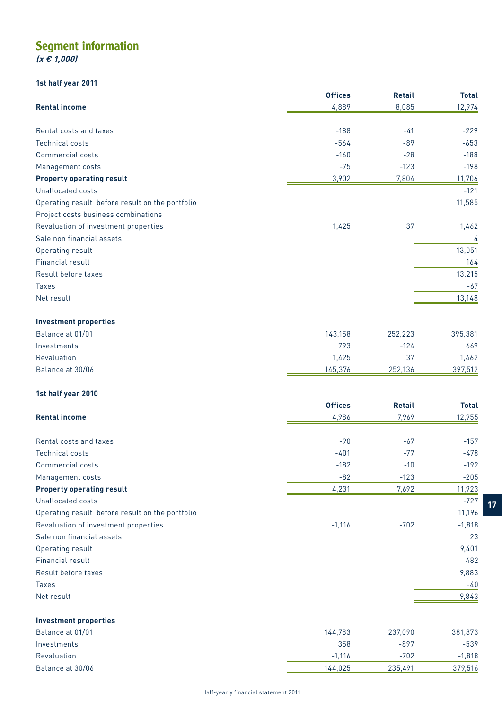# **(x € 1,000)**  Segment information

#### **1st half year 2011**

|                                                 | <b>Offices</b> | <b>Retail</b> | <b>Total</b> |
|-------------------------------------------------|----------------|---------------|--------------|
| <b>Rental income</b>                            | 4,889          | 8,085         | 12,974       |
| Rental costs and taxes                          | $-188$         | $-41$         | $-229$       |
|                                                 | $-564$         |               |              |
| <b>Technical costs</b><br>Commercial costs      | $-160$         | $-89$         | $-653$       |
|                                                 |                | $-28$         | $-188$       |
| Management costs                                | $-75$          | $-123$        | $-198$       |
| <b>Property operating result</b>                | 3,902          | 7,804         | 11,706       |
| Unallocated costs                               |                |               | $-121$       |
| Operating result before result on the portfolio |                |               | 11,585       |
| Project costs business combinations             |                |               |              |
| Revaluation of investment properties            | 1,425          | 37            | 1,462        |
| Sale non financial assets                       |                |               | 4            |
| Operating result                                |                |               | 13,051       |
| <b>Financial result</b>                         |                |               | 164          |
| Result before taxes                             |                |               | 13,215       |
| <b>Taxes</b>                                    |                |               | $-67$        |
| Net result                                      |                |               | 13,148       |
| <b>Investment properties</b>                    |                |               |              |
| Balance at 01/01                                | 143,158        | 252,223       | 395,381      |
| Investments                                     | 793            | $-124$        | 669          |
| Revaluation                                     | 1,425          | 37            | 1,462        |
| Balance at 30/06                                | 145,376        | 252,136       | 397,512      |
| 1st half year 2010                              |                |               |              |
|                                                 | <b>Offices</b> | <b>Retail</b> | <b>Total</b> |
| <b>Rental income</b>                            | 4,986          | 7,969         | 12,955       |
| Rental costs and taxes                          | $-90$          | $-67$         | $-157$       |
| <b>Technical costs</b>                          | $-401$         | $-77$         | $-478$       |
| Commercial costs                                | $-182$         | $-10$         | $-192$       |
| Management costs                                | $-82$          | $-123$        | $-205$       |
| <b>Property operating result</b>                | 4,231          | 7,692         | 11,923       |
| Unallocated costs                               |                |               | $-727$       |
| Operating result before result on the portfolio |                |               | 11,196       |
| Revaluation of investment properties            | $-1,116$       | $-702$        | $-1,818$     |
| Sale non financial assets                       |                |               | 23           |
| Operating result                                |                |               | 9,401        |
| <b>Financial result</b>                         |                |               | 482          |
| Result before taxes                             |                |               | 9,883        |
| <b>Taxes</b>                                    |                |               | $-40$        |
| Net result                                      |                |               | 9,843        |
| <b>Investment properties</b>                    |                |               |              |
| Balance at 01/01                                | 144,783        | 237,090       | 381,873      |
| Investments                                     | 358            | $-897$        | $-539$       |
| Revaluation                                     | $-1,116$       | $-702$        | $-1,818$     |
|                                                 |                |               |              |

Balance at 30/06 235,491 379,516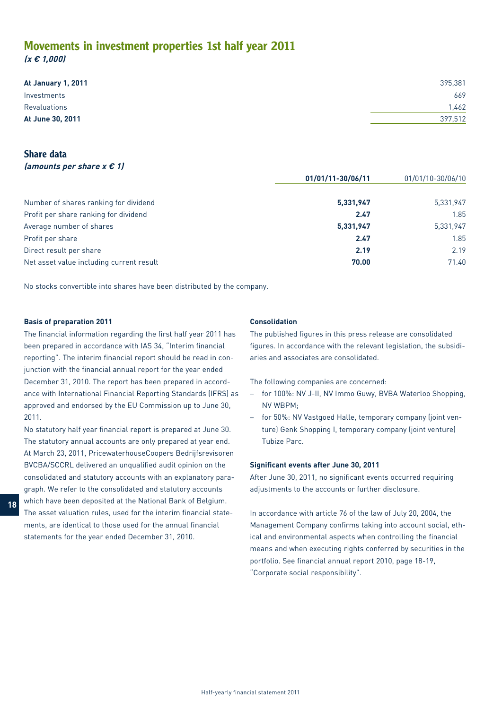# **(x € 1,000)** Movements in investment properties 1st half year 2011

| <b>At January 1, 2011</b> | 395,381 |
|---------------------------|---------|
| Investments               | 669     |
| Revaluations              | 1.462   |
| At June 30, 2011          | 397,512 |

#### Share data **(amounts per share x € 1)**

|                                          | 01/01/11-30/06/11 | 01/01/10-30/06/10 |
|------------------------------------------|-------------------|-------------------|
| Number of shares ranking for dividend    | 5,331,947         | 5,331,947         |
| Profit per share ranking for dividend    | 2.47              | 1.85              |
| Average number of shares                 | 5,331,947         | 5,331,947         |
| Profit per share                         | 2.47              | 1.85              |
| Direct result per share                  | 2.19              | 2.19              |
| Net asset value including current result | 70.00             | 71.40             |

No stocks convertible into shares have been distributed by the company.

#### **Basis of preparation 2011**

The financial information regarding the first half year 2011 has been prepared in accordance with IAS 34, "Interim financial reporting". The interim financial report should be read in conjunction with the financial annual report for the year ended December 31, 2010. The report has been prepared in accordance with International Financial Reporting Standards (IFRS) as approved and endorsed by the EU Commission up to June 30, 2011.

No statutory half year financial report is prepared at June 30. The statutory annual accounts are only prepared at year end. At March 23, 2011, PricewaterhouseCoopers Bedrijfsrevisoren BVCBA/SCCRL delivered an unqualified audit opinion on the consolidated and statutory accounts with an explanatory paragraph. We refer to the consolidated and statutory accounts which have been deposited at the National Bank of Belgium. The asset valuation rules, used for the interim financial statements, are identical to those used for the annual financial statements for the year ended December 31, 2010.

#### **Consolidation**

The published figures in this press release are consolidated figures. In accordance with the relevant legislation, the subsidiaries and associates are consolidated.

The following companies are concerned:

- for 100%: NV J-II, NV Immo Guwy, BVBA Waterloo Shopping, NV WBPM;
- for 50%: NV Vastgoed Halle, temporary company (joint venture) Genk Shopping I, temporary company (joint venture) Tubize Parc.

#### **Significant events after June 30, 2011**

After June 30, 2011, no significant events occurred requiring adjustments to the accounts or further disclosure.

In accordance with article 76 of the law of July 20, 2004, the Management Company confirms taking into account social, ethical and environmental aspects when controlling the financial means and when executing rights conferred by securities in the portfolio. See financial annual report 2010, page 18-19, "Corporate social responsibility".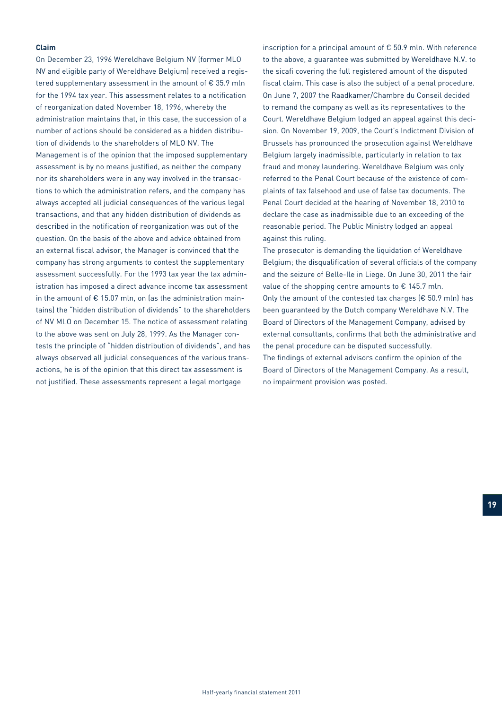#### **Claim**

On December 23, 1996 Wereldhave Belgium NV (former MLO NV and eligible party of Wereldhave Belgium) received a registered supplementary assessment in the amount of € 35.9 mln for the 1994 tax year. This assessment relates to a notification of reorganization dated November 18, 1996, whereby the administration maintains that, in this case, the succession of a number of actions should be considered as a hidden distribution of dividends to the shareholders of MLO NV. The Management is of the opinion that the imposed supplementary assessment is by no means justified, as neither the company nor its shareholders were in any way involved in the transactions to which the administration refers, and the company has always accepted all judicial consequences of the various legal transactions, and that any hidden distribution of dividends as described in the notification of reorganization was out of the question. On the basis of the above and advice obtained from an external fiscal advisor, the Manager is convinced that the company has strong arguments to contest the supplementary assessment successfully. For the 1993 tax year the tax administration has imposed a direct advance income tax assessment in the amount of  $\epsilon$  15.07 mln, on (as the administration maintains) the "hidden distribution of dividends" to the shareholders of NV MLO on December 15. The notice of assessment relating to the above was sent on July 28, 1999. As the Manager contests the principle of "hidden distribution of dividends", and has always observed all judicial consequences of the various transactions, he is of the opinion that this direct tax assessment is not justified. These assessments represent a legal mortgage

inscription for a principal amount of € 50.9 mln. With reference to the above, a guarantee was submitted by Wereldhave N.V. to the sicafi covering the full registered amount of the disputed fiscal claim. This case is also the subject of a penal procedure. On June 7, 2007 the Raadkamer/Chambre du Conseil decided to remand the company as well as its representatives to the Court. Wereldhave Belgium lodged an appeal against this decision. On November 19, 2009, the Court's Indictment Division of Brussels has pronounced the prosecution against Wereldhave Belgium largely inadmissible, particularly in relation to tax fraud and money laundering. Wereldhave Belgium was only referred to the Penal Court because of the existence of complaints of tax falsehood and use of false tax documents. The Penal Court decided at the hearing of November 18, 2010 to declare the case as inadmissible due to an exceeding of the reasonable period. The Public Ministry lodged an appeal against this ruling.

The prosecutor is demanding the liquidation of Wereldhave Belgium; the disqualification of several officials of the company and the seizure of Belle-Ile in Liege. On June 30, 2011 the fair value of the shopping centre amounts to € 145.7 mln. Only the amount of the contested tax charges ( $\epsilon$  50.9 mln) has been guaranteed by the Dutch company Wereldhave N.V. The Board of Directors of the Management Company, advised by external consultants, confirms that both the administrative and the penal procedure can be disputed successfully. The findings of external advisors confirm the opinion of the Board of Directors of the Management Company. As a result, no impairment provision was posted.